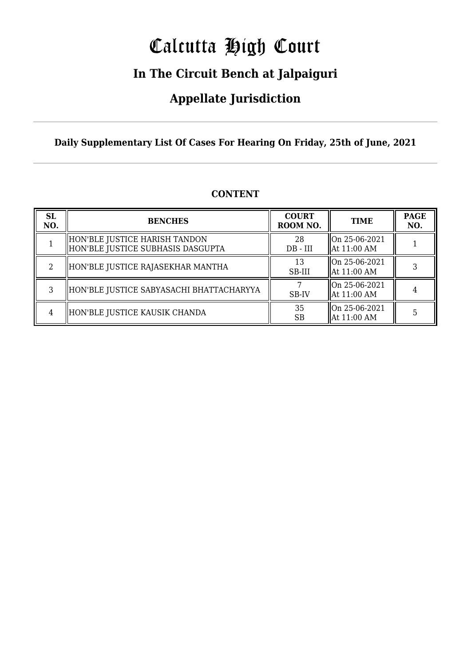# Calcutta High Court

### **In The Circuit Bench at Jalpaiguri**

### **Appellate Jurisdiction**

### **Daily Supplementary List Of Cases For Hearing On Friday, 25th of June, 2021**

| <b>SL</b><br>NO. | <b>BENCHES</b>                                                     | <b>COURT</b><br>ROOM NO. | <b>TIME</b>                            | <b>PAGE</b><br>NO. |
|------------------|--------------------------------------------------------------------|--------------------------|----------------------------------------|--------------------|
|                  | HON'BLE JUSTICE HARISH TANDON<br>HON'BLE JUSTICE SUBHASIS DASGUPTA | 28<br>$DB - III$         | On 25-06-2021<br>  At 11:00 AM         |                    |
|                  | HON'BLE JUSTICE RAJASEKHAR MANTHA                                  | 13<br>SB-III             | On 25-06-2021<br>  At 11:00 AM         |                    |
| 3                | HON'BLE JUSTICE SABYASACHI BHATTACHARYYA                           | SB-IV                    | $\vert$ On 25-06-2021<br>  At 11:00 AM |                    |
|                  | HON'BLE JUSTICE KAUSIK CHANDA                                      | 35<br>SB                 | $\vert$ On 25-06-2021<br>  At 11:00 AM |                    |

### **CONTENT**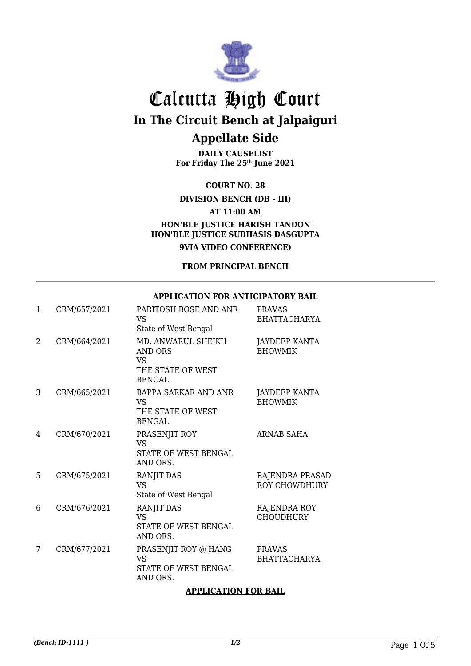

**DAILY CAUSELIST For Friday The 25th June 2021**

**COURT NO. 28**

**DIVISION BENCH (DB - III)**

**AT 11:00 AM**

**HON'BLE JUSTICE HARISH TANDON HON'BLE JUSTICE SUBHASIS DASGUPTA 9VIA VIDEO CONFERENCE)**

**FROM PRINCIPAL BENCH**

#### **APPLICATION FOR ANTICIPATORY BAIL**

| $\mathbf{1}$ | CRM/657/2021 | PARITOSH BOSE AND ANR<br>VS.<br>State of West Bengal                       | <b>PRAVAS</b><br><b>BHATTACHARYA</b>    |
|--------------|--------------|----------------------------------------------------------------------------|-----------------------------------------|
| 2            | CRM/664/2021 | MD. ANWARUL SHEIKH<br>AND ORS<br>VS.<br>THE STATE OF WEST<br><b>BENGAL</b> | <b>JAYDEEP KANTA</b><br><b>BHOWMIK</b>  |
| 3            | CRM/665/2021 | <b>BAPPA SARKAR AND ANR</b><br>VS.<br>THE STATE OF WEST<br><b>BENGAL</b>   | JAYDEEP KANTA<br><b>BHOWMIK</b>         |
| 4            | CRM/670/2021 | PRASENJIT ROY<br><b>VS</b><br>STATE OF WEST BENGAL<br>AND ORS.             | <b>ARNAB SAHA</b>                       |
| 5            | CRM/675/2021 | RANJIT DAS<br><b>VS</b><br>State of West Bengal                            | RAJENDRA PRASAD<br><b>ROY CHOWDHURY</b> |
| 6            | CRM/676/2021 | RANJIT DAS<br><b>VS</b><br>STATE OF WEST BENGAL<br>AND ORS.                | RAJENDRA ROY<br><b>CHOUDHURY</b>        |
| 7            | CRM/677/2021 | PRASENJIT ROY @ HANG<br><b>VS</b><br>STATE OF WEST BENGAL<br>AND ORS.      | <b>PRAVAS</b><br><b>BHATTACHARYA</b>    |

#### **APPLICATION FOR BAIL**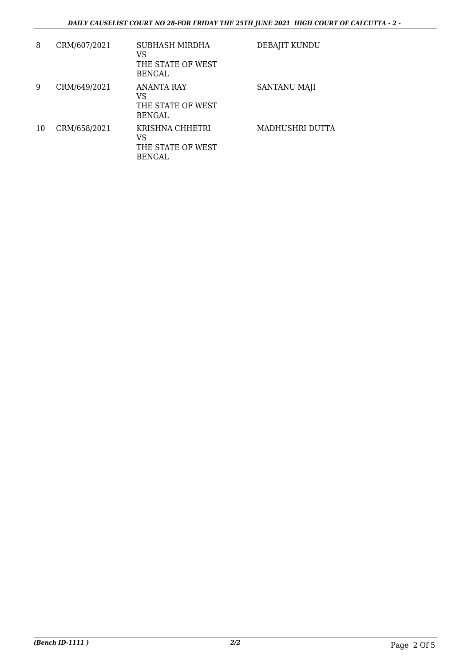| 8  | CRM/607/2021 | SUBHASH MIRDHA<br>VS<br>THE STATE OF WEST<br><b>BENGAL</b>    | DEBAJIT KUNDU   |
|----|--------------|---------------------------------------------------------------|-----------------|
| 9  | CRM/649/2021 | <b>ANANTA RAY</b><br>VS<br>THE STATE OF WEST<br><b>BENGAL</b> | SANTANU MAJI    |
| 10 | CRM/658/2021 | KRISHNA CHHETRI<br>VS<br>THE STATE OF WEST<br><b>BENGAL</b>   | MADHUSHRI DUTTA |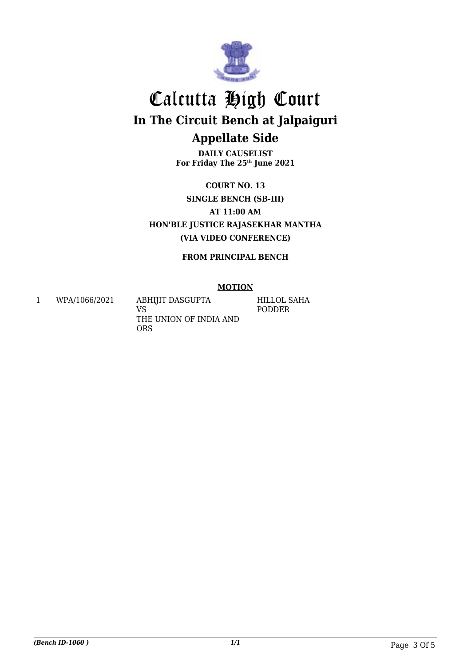

**DAILY CAUSELIST For Friday The 25th June 2021**

**COURT NO. 13 SINGLE BENCH (SB-III) AT 11:00 AM HON'BLE JUSTICE RAJASEKHAR MANTHA (VIA VIDEO CONFERENCE)**

**FROM PRINCIPAL BENCH**

### **MOTION**

1 WPA/1066/2021 ABHIJIT DASGUPTA

VS THE UNION OF INDIA AND ORS

HILLOL SAHA PODDER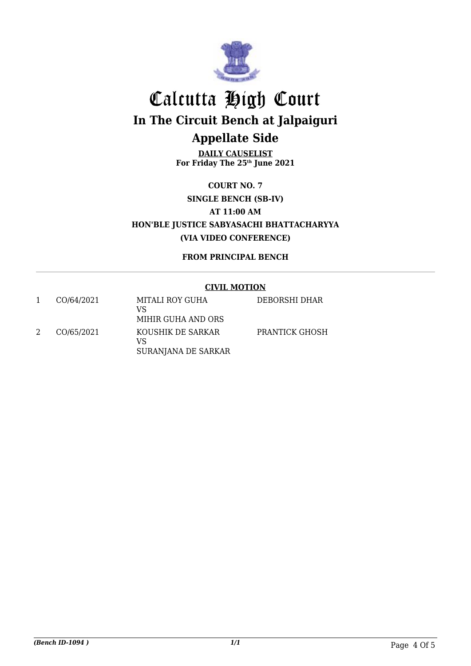

**DAILY CAUSELIST For Friday The 25th June 2021**

**COURT NO. 7 SINGLE BENCH (SB-IV) AT 11:00 AM HON'BLE JUSTICE SABYASACHI BHATTACHARYYA (VIA VIDEO CONFERENCE)**

**FROM PRINCIPAL BENCH**

### **CIVIL MOTION**

| CO/64/2021 | MITALI ROY GUHA<br>VS<br>MIHIR GUHA AND ORS    | DEBORSHI DHAR  |
|------------|------------------------------------------------|----------------|
| CO/65/2021 | KOUSHIK DE SARKAR<br>VS<br>SURANJANA DE SARKAR | PRANTICK GHOSH |